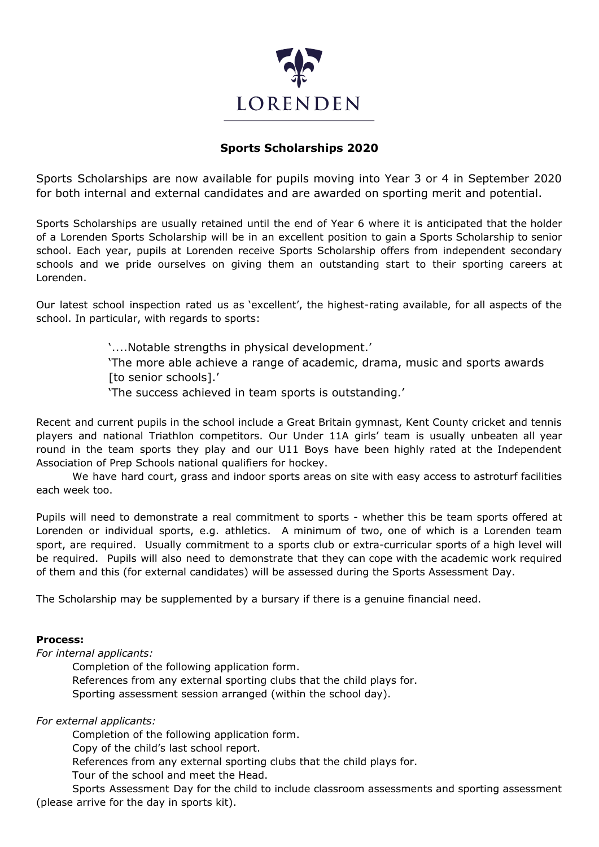

## **Sports Scholarships 2020**

Sports Scholarships are now available for pupils moving into Year 3 or 4 in September 2020 for both internal and external candidates and are awarded on sporting merit and potential.

Sports Scholarships are usually retained until the end of Year 6 where it is anticipated that the holder of a Lorenden Sports Scholarship will be in an excellent position to gain a Sports Scholarship to senior school. Each year, pupils at Lorenden receive Sports Scholarship offers from independent secondary schools and we pride ourselves on giving them an outstanding start to their sporting careers at Lorenden.

Our latest school inspection rated us as 'excellent', the highest-rating available, for all aspects of the school. In particular, with regards to sports:

'....Notable strengths in physical development.'

'The more able achieve a range of academic, drama, music and sports awards [to senior schools].'

'The success achieved in team sports is outstanding.'

Recent and current pupils in the school include a Great Britain gymnast, Kent County cricket and tennis players and national Triathlon competitors. Our Under 11A girls' team is usually unbeaten all year round in the team sports they play and our U11 Boys have been highly rated at the Independent Association of Prep Schools national qualifiers for hockey.

We have hard court, grass and indoor sports areas on site with easy access to astroturf facilities each week too.

Pupils will need to demonstrate a real commitment to sports - whether this be team sports offered at Lorenden or individual sports, e.g. athletics. A minimum of two, one of which is a Lorenden team sport, are required. Usually commitment to a sports club or extra-curricular sports of a high level will be required. Pupils will also need to demonstrate that they can cope with the academic work required of them and this (for external candidates) will be assessed during the Sports Assessment Day.

The Scholarship may be supplemented by a bursary if there is a genuine financial need.

## **Process:**

*For internal applicants:*

Completion of the following application form. References from any external sporting clubs that the child plays for. Sporting assessment session arranged (within the school day).

*For external applicants:*

Completion of the following application form.

Copy of the child's last school report.

References from any external sporting clubs that the child plays for.

Tour of the school and meet the Head.

Sports Assessment Day for the child to include classroom assessments and sporting assessment (please arrive for the day in sports kit).